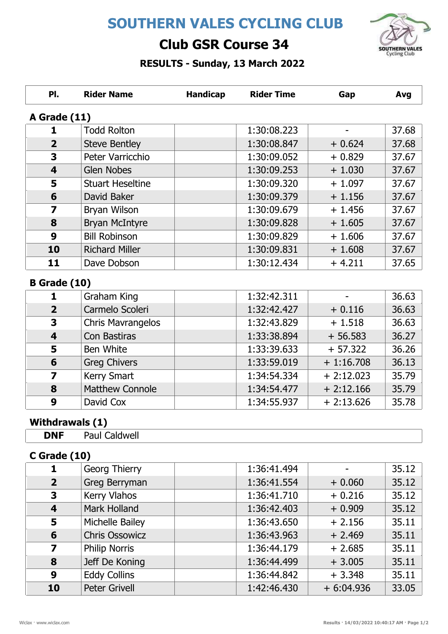# SOUTHERN VALES CYCLING CLUB



## Club GSR Course 34

### RESULTS - Sunday, 13 March 2022

| PI.                     | <b>Rider Name</b>       | <b>Handicap</b> | <b>Rider Time</b> | Gap       | Avg   |  |  |
|-------------------------|-------------------------|-----------------|-------------------|-----------|-------|--|--|
|                         | A Grade (11)            |                 |                   |           |       |  |  |
| 1                       | <b>Todd Rolton</b>      |                 | 1:30:08.223       |           | 37.68 |  |  |
| $\overline{2}$          | <b>Steve Bentley</b>    |                 | 1:30:08.847       | $+0.624$  | 37.68 |  |  |
| 3                       | Peter Varricchio        |                 | 1:30:09.052       | $+0.829$  | 37.67 |  |  |
| $\overline{\mathbf{4}}$ | <b>Glen Nobes</b>       |                 | 1:30:09.253       | $+1.030$  | 37.67 |  |  |
| 5                       | <b>Stuart Heseltine</b> |                 | 1:30:09.320       | $+1.097$  | 37.67 |  |  |
| 6                       | David Baker             |                 | 1:30:09.379       | $+1.156$  | 37.67 |  |  |
| $\overline{\mathbf{z}}$ | Bryan Wilson            |                 | 1:30:09.679       | $+1.456$  | 37.67 |  |  |
| 8                       | <b>Bryan McIntyre</b>   |                 | 1:30:09.828       | $+1.605$  | 37.67 |  |  |
| 9                       | <b>Bill Robinson</b>    |                 | 1:30:09.829       | $+1.606$  | 37.67 |  |  |
| 10                      | <b>Richard Miller</b>   |                 | 1:30:09.831       | $+1.608$  | 37.67 |  |  |
| 11                      | Dave Dobson             |                 | 1:30:12.434       | $+4.211$  | 37.65 |  |  |
| <b>B</b> Grade (10)     |                         |                 |                   |           |       |  |  |
| 1                       | Graham King             |                 | 1:32:42.311       |           | 36.63 |  |  |
| $\overline{2}$          | Carmelo Scoleri         |                 | 1:32:42.427       | $+0.116$  | 36.63 |  |  |
| 3                       | Chris Mavrangelos       |                 | 1:32:43.829       | $+1.518$  | 36.63 |  |  |
| $\overline{\mathbf{4}}$ | Con Bastiras            |                 | 1:33:38.894       | $+56.583$ | 36.27 |  |  |
| 5                       | Ben White               |                 | 1:33:39.633       | $+57.322$ | 36.26 |  |  |
|                         |                         |                 |                   |           |       |  |  |

| Э | <b>Ben</b> white       | 1.33.39.033 | $+51.322$   | 30.ZD |
|---|------------------------|-------------|-------------|-------|
| 6 | <b>Greg Chivers</b>    | 1:33:59.019 | $+1:16.708$ | 36.13 |
|   | <b>Kerry Smart</b>     | 1:34:54.334 | $+2:12.023$ | 35.79 |
| 8 | <b>Matthew Connole</b> | 1:34:54.477 | $+2:12.166$ | 35.79 |
| 9 | David Cox              | 1:34:55.937 | $+2:13.626$ | 35.78 |
|   |                        |             |             |       |

## Withdrawals (1)

| <b>DNF</b> | Paul Caldwell |
|------------|---------------|
|            |               |

### C Grade (10)

|                  | <b>Georg Thierry</b>  | 1:36:41.494 |             | 35.12 |
|------------------|-----------------------|-------------|-------------|-------|
| $\overline{2}$   | Greg Berryman         | 1:36:41.554 | $+0.060$    | 35.12 |
| 3                | <b>Kerry Vlahos</b>   | 1:36:41.710 | $+0.216$    | 35.12 |
| $\boldsymbol{4}$ | Mark Holland          | 1:36:42.403 | $+0.909$    | 35.12 |
| 5                | Michelle Bailey       | 1:36:43.650 | $+2.156$    | 35.11 |
| 6                | <b>Chris Ossowicz</b> | 1:36:43.963 | $+2.469$    | 35.11 |
| 7                | <b>Philip Norris</b>  | 1:36:44.179 | $+2.685$    | 35.11 |
| 8                | Jeff De Koning        | 1:36:44.499 | $+3.005$    | 35.11 |
| 9                | <b>Eddy Collins</b>   | 1:36:44.842 | $+3.348$    | 35.11 |
| 10               | <b>Peter Grivell</b>  | 1:42:46.430 | $+6:04.936$ | 33.05 |